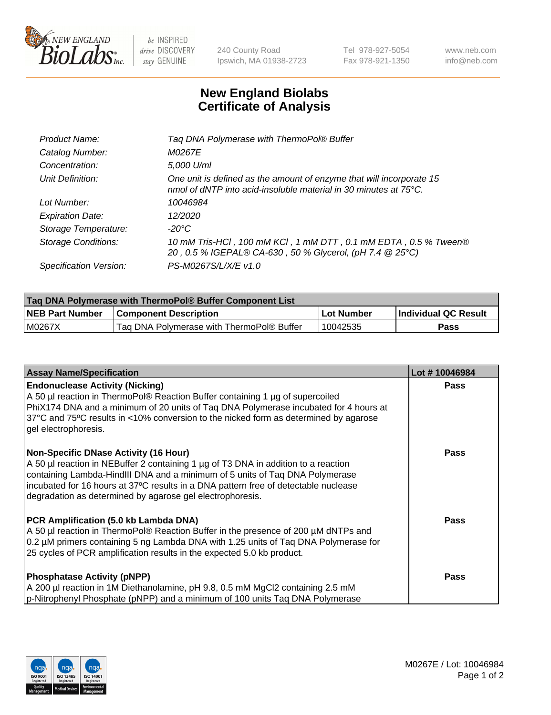

 $be$  INSPIRED drive DISCOVERY stay GENUINE

240 County Road Ipswich, MA 01938-2723 Tel 978-927-5054 Fax 978-921-1350 www.neb.com info@neb.com

## **New England Biolabs Certificate of Analysis**

| Tag DNA Polymerase with ThermoPol® Buffer                                                                                                          |
|----------------------------------------------------------------------------------------------------------------------------------------------------|
| M0267E                                                                                                                                             |
| 5,000 U/ml                                                                                                                                         |
| One unit is defined as the amount of enzyme that will incorporate 15<br>nmol of dNTP into acid-insoluble material in 30 minutes at $75^{\circ}$ C. |
| 10046984                                                                                                                                           |
| 12/2020                                                                                                                                            |
| $-20^{\circ}$ C                                                                                                                                    |
| 10 mM Tris-HCl, 100 mM KCl, 1 mM DTT, 0.1 mM EDTA, 0.5 % Tween®<br>20, 0.5 % IGEPAL® CA-630, 50 % Glycerol, (pH 7.4 @ 25°C)                        |
| PS-M0267S/L/X/E v1.0                                                                                                                               |
|                                                                                                                                                    |

| <b>Tag DNA Polymerase with ThermoPol® Buffer Component List</b> |                                           |            |                      |  |  |
|-----------------------------------------------------------------|-------------------------------------------|------------|----------------------|--|--|
| <b>NEB Part Number</b>                                          | <b>Component Description</b>              | Lot Number | Individual QC Result |  |  |
| M0267X                                                          | Tag DNA Polymerase with ThermoPol® Buffer | 10042535   | Pass                 |  |  |

| <b>Assay Name/Specification</b>                                                                                                                                                                                                                                                                                                                                        | Lot #10046984 |
|------------------------------------------------------------------------------------------------------------------------------------------------------------------------------------------------------------------------------------------------------------------------------------------------------------------------------------------------------------------------|---------------|
| <b>Endonuclease Activity (Nicking)</b><br>A 50 µl reaction in ThermoPol® Reaction Buffer containing 1 µg of supercoiled<br>PhiX174 DNA and a minimum of 20 units of Tag DNA Polymerase incubated for 4 hours at<br>37°C and 75°C results in <10% conversion to the nicked form as determined by agarose<br>gel electrophoresis.                                        | <b>Pass</b>   |
| <b>Non-Specific DNase Activity (16 Hour)</b><br>A 50 µl reaction in NEBuffer 2 containing 1 µg of T3 DNA in addition to a reaction<br>containing Lambda-HindIII DNA and a minimum of 5 units of Taq DNA Polymerase<br>incubated for 16 hours at 37°C results in a DNA pattern free of detectable nuclease<br>degradation as determined by agarose gel electrophoresis. | <b>Pass</b>   |
| PCR Amplification (5.0 kb Lambda DNA)<br>A 50 µl reaction in ThermoPol® Reaction Buffer in the presence of 200 µM dNTPs and<br>0.2 µM primers containing 5 ng Lambda DNA with 1.25 units of Taq DNA Polymerase for<br>25 cycles of PCR amplification results in the expected 5.0 kb product.                                                                           | <b>Pass</b>   |
| <b>Phosphatase Activity (pNPP)</b><br>A 200 µl reaction in 1M Diethanolamine, pH 9.8, 0.5 mM MgCl2 containing 2.5 mM<br>p-Nitrophenyl Phosphate (pNPP) and a minimum of 100 units Taq DNA Polymerase                                                                                                                                                                   | <b>Pass</b>   |